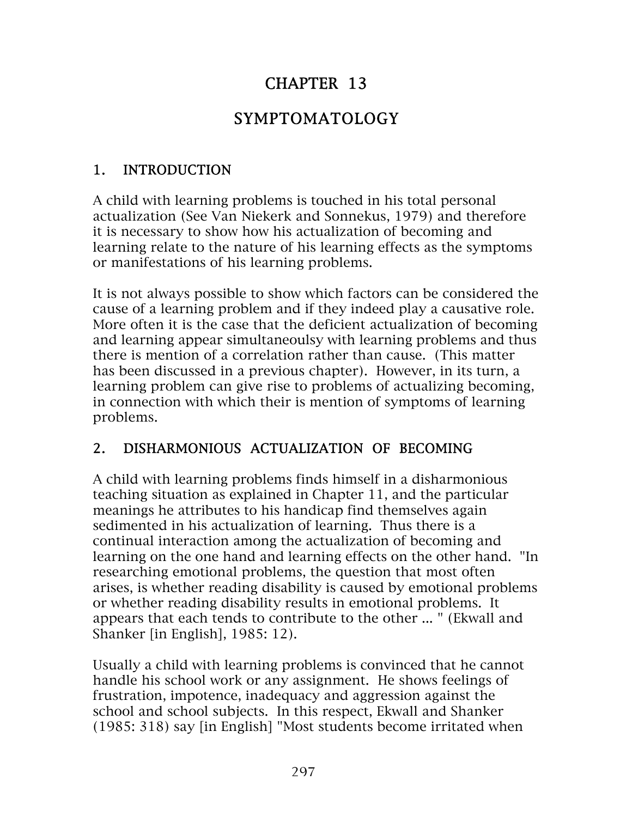# CHAPTER 13

# SYMPTOMATOLOGY

## 1. INTRODUCTION

A child with learning problems is touched in his total personal actualization (See Van Niekerk and Sonnekus, 1979) and therefore it is necessary to show how his actualization of becoming and learning relate to the nature of his learning effects as the symptoms or manifestations of his learning problems.

It is not always possible to show which factors can be considered the cause of a learning problem and if they indeed play a causative role. More often it is the case that the deficient actualization of becoming and learning appear simultaneoulsy with learning problems and thus there is mention of a correlation rather than cause. (This matter has been discussed in a previous chapter). However, in its turn, a learning problem can give rise to problems of actualizing becoming, in connection with which their is mention of symptoms of learning problems.

## 2. DISHARMONIOUS ACTUALIZATION OF BECOMING

A child with learning problems finds himself in a disharmonious teaching situation as explained in Chapter 11, and the particular meanings he attributes to his handicap find themselves again sedimented in his actualization of learning. Thus there is a continual interaction among the actualization of becoming and learning on the one hand and learning effects on the other hand. "In researching emotional problems, the question that most often arises, is whether reading disability is caused by emotional problems or whether reading disability results in emotional problems. It appears that each tends to contribute to the other ... " (Ekwall and Shanker [in English], 1985: 12).

Usually a child with learning problems is convinced that he cannot handle his school work or any assignment. He shows feelings of frustration, impotence, inadequacy and aggression against the school and school subjects. In this respect, Ekwall and Shanker (1985: 318) say [in English] "Most students become irritated when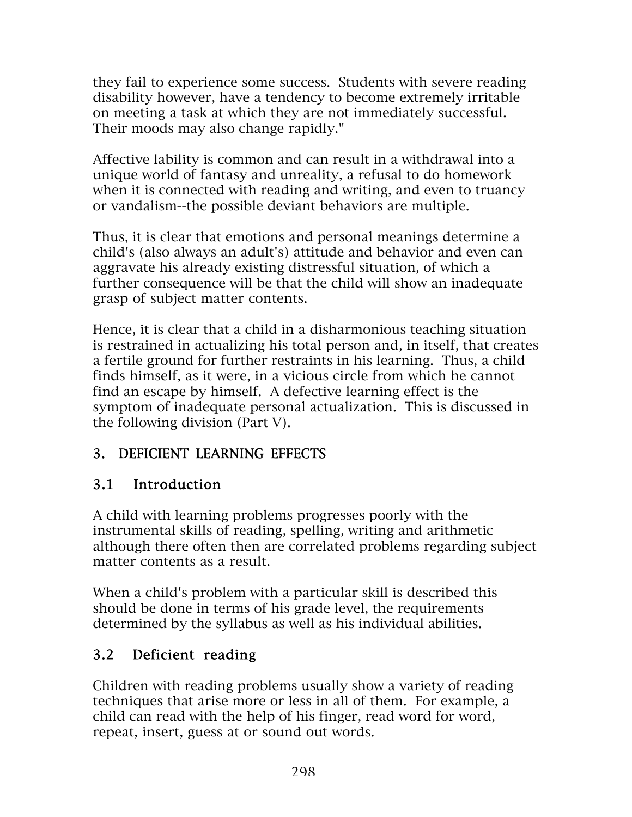they fail to experience some success. Students with severe reading disability however, have a tendency to become extremely irritable on meeting a task at which they are not immediately successful. Their moods may also change rapidly."

Affective lability is common and can result in a withdrawal into a unique world of fantasy and unreality, a refusal to do homework when it is connected with reading and writing, and even to truancy or vandalism--the possible deviant behaviors are multiple.

Thus, it is clear that emotions and personal meanings determine a child's (also always an adult's) attitude and behavior and even can aggravate his already existing distressful situation, of which a further consequence will be that the child will show an inadequate grasp of subject matter contents.

Hence, it is clear that a child in a disharmonious teaching situation is restrained in actualizing his total person and, in itself, that creates a fertile ground for further restraints in his learning. Thus, a child finds himself, as it were, in a vicious circle from which he cannot find an escape by himself. A defective learning effect is the symptom of inadequate personal actualization. This is discussed in the following division (Part V).

## 3. DEFICIENT LEARNING EFFECTS

## 3.1 Introduction

A child with learning problems progresses poorly with the instrumental skills of reading, spelling, writing and arithmetic although there often then are correlated problems regarding subject matter contents as a result.

When a child's problem with a particular skill is described this should be done in terms of his grade level, the requirements determined by the syllabus as well as his individual abilities.

## 3.2 Deficient reading

Children with reading problems usually show a variety of reading techniques that arise more or less in all of them. For example, a child can read with the help of his finger, read word for word, repeat, insert, guess at or sound out words.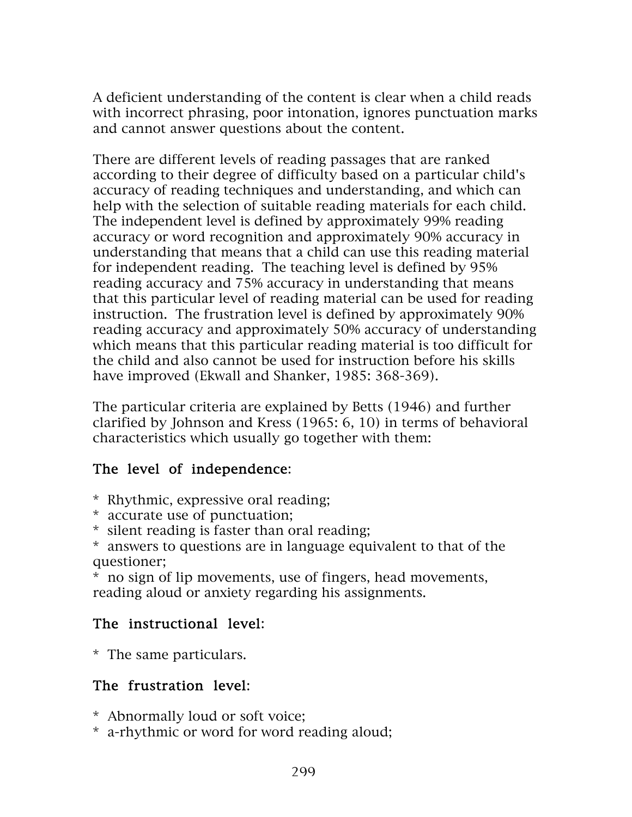A deficient understanding of the content is clear when a child reads with incorrect phrasing, poor intonation, ignores punctuation marks and cannot answer questions about the content.

There are different levels of reading passages that are ranked according to their degree of difficulty based on a particular child's accuracy of reading techniques and understanding, and which can help with the selection of suitable reading materials for each child. The independent level is defined by approximately 99% reading accuracy or word recognition and approximately 90% accuracy in understanding that means that a child can use this reading material for independent reading. The teaching level is defined by 95% reading accuracy and 75% accuracy in understanding that means that this particular level of reading material can be used for reading instruction. The frustration level is defined by approximately 90% reading accuracy and approximately 50% accuracy of understanding which means that this particular reading material is too difficult for the child and also cannot be used for instruction before his skills have improved (Ekwall and Shanker, 1985: 368-369).

The particular criteria are explained by Betts (1946) and further clarified by Johnson and Kress (1965: 6, 10) in terms of behavioral characteristics which usually go together with them:

## The level of independence:

- \* Rhythmic, expressive oral reading;
- \* accurate use of punctuation;
- \* silent reading is faster than oral reading;

\* answers to questions are in language equivalent to that of the questioner;

\* no sign of lip movements, use of fingers, head movements, reading aloud or anxiety regarding his assignments.

## The instructional level:

\* The same particulars.

## The frustration level:

- \* Abnormally loud or soft voice;
- \* a-rhythmic or word for word reading aloud;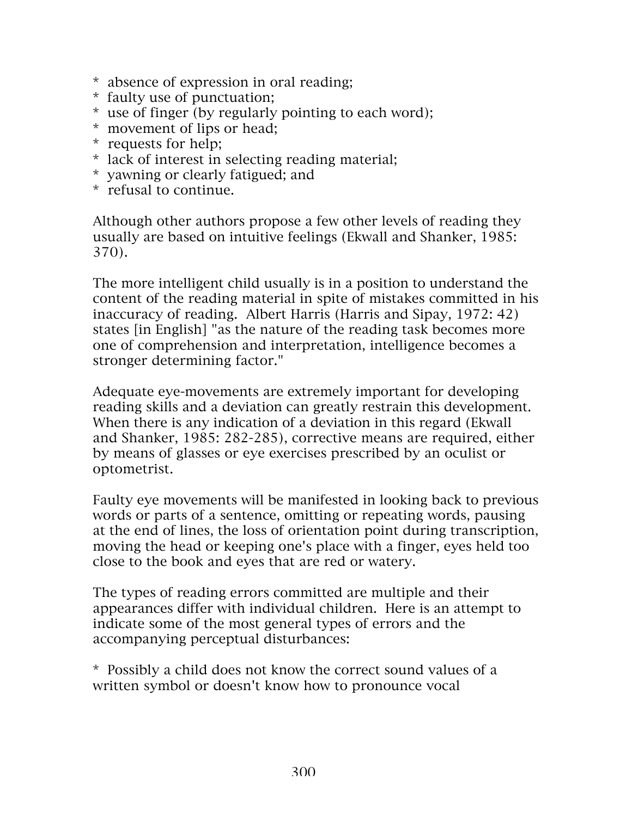- \* absence of expression in oral reading;
- \* faulty use of punctuation;
- \* use of finger (by regularly pointing to each word);
- \* movement of lips or head;
- \* requests for help;
- \* lack of interest in selecting reading material;
- \* yawning or clearly fatigued; and
- \* refusal to continue.

Although other authors propose a few other levels of reading they usually are based on intuitive feelings (Ekwall and Shanker, 1985: 370).

The more intelligent child usually is in a position to understand the content of the reading material in spite of mistakes committed in his inaccuracy of reading. Albert Harris (Harris and Sipay, 1972: 42) states [in English] "as the nature of the reading task becomes more one of comprehension and interpretation, intelligence becomes a stronger determining factor."

Adequate eye-movements are extremely important for developing reading skills and a deviation can greatly restrain this development. When there is any indication of a deviation in this regard (Ekwall and Shanker, 1985: 282-285), corrective means are required, either by means of glasses or eye exercises prescribed by an oculist or optometrist.

Faulty eye movements will be manifested in looking back to previous words or parts of a sentence, omitting or repeating words, pausing at the end of lines, the loss of orientation point during transcription, moving the head or keeping one's place with a finger, eyes held too close to the book and eyes that are red or watery.

The types of reading errors committed are multiple and their appearances differ with individual children. Here is an attempt to indicate some of the most general types of errors and the accompanying perceptual disturbances:

\* Possibly a child does not know the correct sound values of a written symbol or doesn't know how to pronounce vocal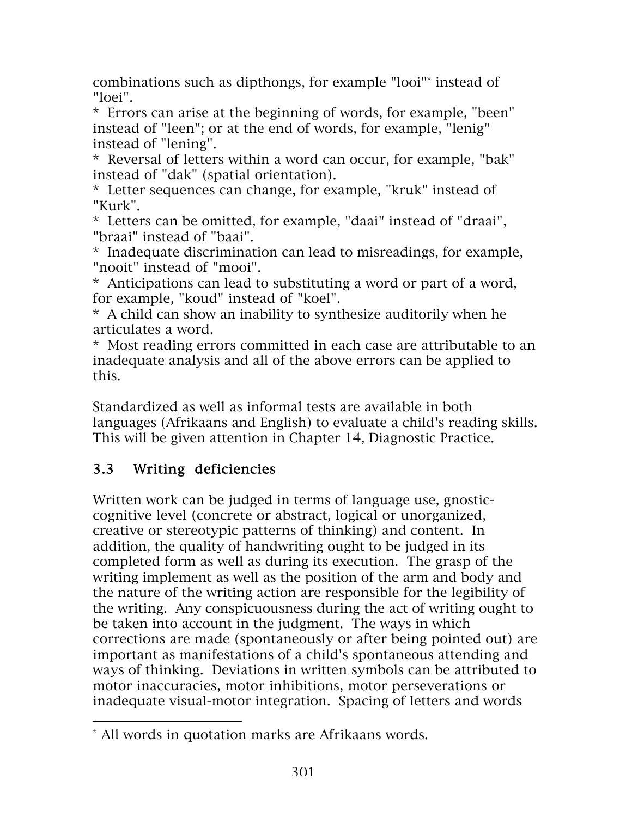combinations such as dipthongs, for example "looi"\* instead of "loei".

\* Errors can arise at the beginning of words, for example, "been" instead of "leen"; or at the end of words, for example, "lenig" instead of "lening".

\* Reversal of letters within a word can occur, for example, "bak" instead of "dak" (spatial orientation).

\* Letter sequences can change, for example, "kruk" instead of "Kurk".

\* Letters can be omitted, for example, "daai" instead of "draai", "braai" instead of "baai".

\* Inadequate discrimination can lead to misreadings, for example, "nooit" instead of "mooi".

\* Anticipations can lead to substituting a word or part of a word, for example, "koud" instead of "koel".

\* A child can show an inability to synthesize auditorily when he articulates a word.

\* Most reading errors committed in each case are attributable to an inadequate analysis and all of the above errors can be applied to this.

Standardized as well as informal tests are available in both languages (Afrikaans and English) to evaluate a child's reading skills. This will be given attention in Chapter 14, Diagnostic Practice.

## 3.3 Writing deficiencies

 $\overline{a}$ 

Written work can be judged in terms of language use, gnosticcognitive level (concrete or abstract, logical or unorganized, creative or stereotypic patterns of thinking) and content. In addition, the quality of handwriting ought to be judged in its completed form as well as during its execution. The grasp of the writing implement as well as the position of the arm and body and the nature of the writing action are responsible for the legibility of the writing. Any conspicuousness during the act of writing ought to be taken into account in the judgment. The ways in which corrections are made (spontaneously or after being pointed out) are important as manifestations of a child's spontaneous attending and ways of thinking. Deviations in written symbols can be attributed to motor inaccuracies, motor inhibitions, motor perseverations or inadequate visual-motor integration. Spacing of letters and words

<sup>\*</sup> All words in quotation marks are Afrikaans words.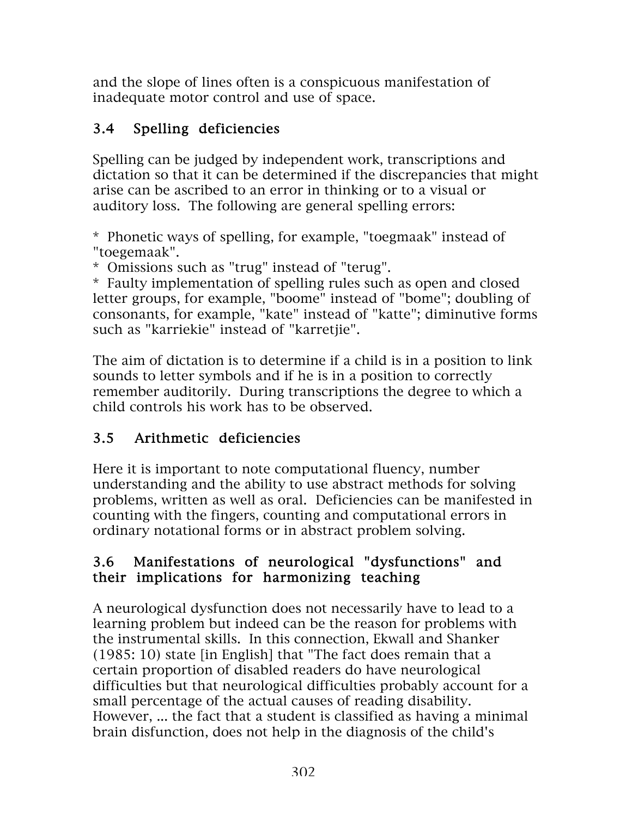and the slope of lines often is a conspicuous manifestation of inadequate motor control and use of space.

## 3.4 Spelling deficiencies

Spelling can be judged by independent work, transcriptions and dictation so that it can be determined if the discrepancies that might arise can be ascribed to an error in thinking or to a visual or auditory loss. The following are general spelling errors:

\* Phonetic ways of spelling, for example, "toegmaak" instead of "toegemaak".

\* Omissions such as "trug" instead of "terug".

\* Faulty implementation of spelling rules such as open and closed letter groups, for example, "boome" instead of "bome"; doubling of consonants, for example, "kate" instead of "katte"; diminutive forms such as "karriekie" instead of "karretjie".

The aim of dictation is to determine if a child is in a position to link sounds to letter symbols and if he is in a position to correctly remember auditorily. During transcriptions the degree to which a child controls his work has to be observed.

# 3.5 Arithmetic deficiencies

Here it is important to note computational fluency, number understanding and the ability to use abstract methods for solving problems, written as well as oral. Deficiencies can be manifested in counting with the fingers, counting and computational errors in ordinary notational forms or in abstract problem solving.

## 3.6 Manifestations of neurological "dysfunctions" and their implications for harmonizing teaching

A neurological dysfunction does not necessarily have to lead to a learning problem but indeed can be the reason for problems with the instrumental skills. In this connection, Ekwall and Shanker (1985: 10) state [in English] that "The fact does remain that a certain proportion of disabled readers do have neurological difficulties but that neurological difficulties probably account for a small percentage of the actual causes of reading disability. However, ... the fact that a student is classified as having a minimal brain disfunction, does not help in the diagnosis of the child's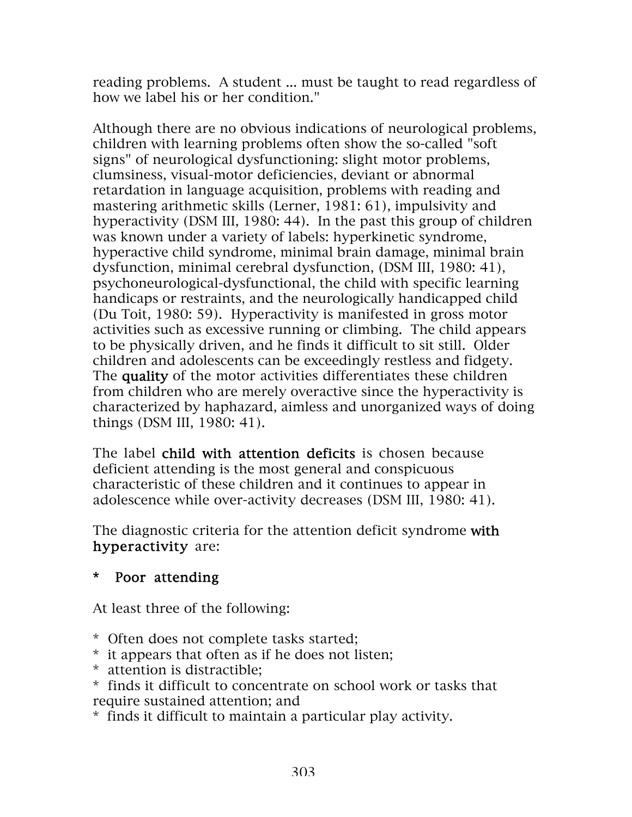reading problems. A student ... must be taught to read regardless of how we label his or her condition."

Although there are no obvious indications of neurological problems, children with learning problems often show the so-called "soft signs" of neurological dysfunctioning: slight motor problems, clumsiness, visual-motor deficiencies, deviant or abnormal retardation in language acquisition, problems with reading and mastering arithmetic skills (Lerner, 1981: 61), impulsivity and hyperactivity (DSM III, 1980: 44). In the past this group of children was known under a variety of labels: hyperkinetic syndrome, hyperactive child syndrome, minimal brain damage, minimal brain dysfunction, minimal cerebral dysfunction, (DSM III, 1980: 41), psychoneurological-dysfunctional, the child with specific learning handicaps or restraints, and the neurologically handicapped child (Du Toit, 1980: 59). Hyperactivity is manifested in gross motor activities such as excessive running or climbing. The child appears to be physically driven, and he finds it difficult to sit still. Older children and adolescents can be exceedingly restless and fidgety. The quality of the motor activities differentiates these children from children who are merely overactive since the hyperactivity is characterized by haphazard, aimless and unorganized ways of doing things (DSM III, 1980: 41).

The label child with attention deficits is chosen because deficient attending is the most general and conspicuous characteristic of these children and it continues to appear in adolescence while over-activity decreases (DSM III, 1980: 41).

The diagnostic criteria for the attention deficit syndrome with hyperactivity are:

## \* Poor attending

At least three of the following:

- \* Often does not complete tasks started;
- \* it appears that often as if he does not listen;
- \* attention is distractible;
- \* finds it difficult to concentrate on school work or tasks that require sustained attention; and
- \* finds it difficult to maintain a particular play activity.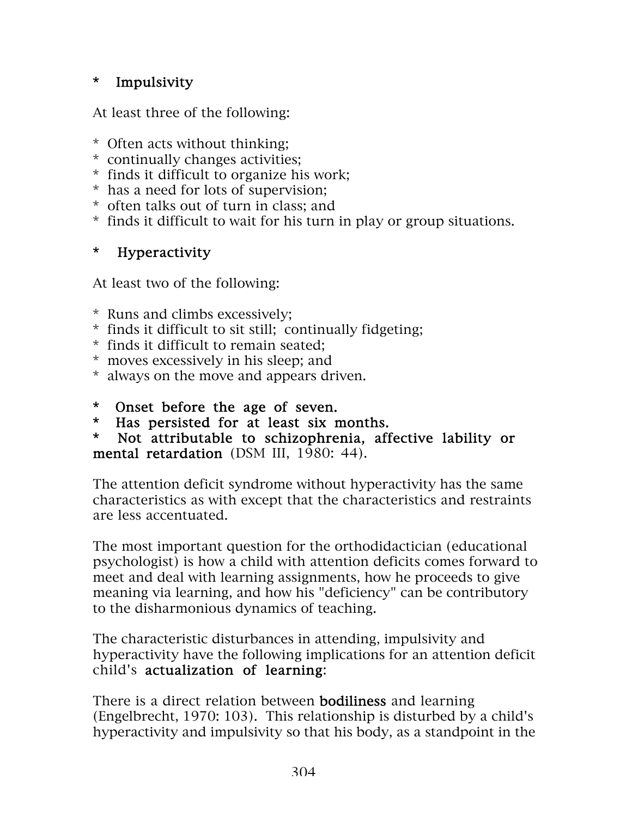## \* Impulsivity

At least three of the following:

- \* Often acts without thinking;
- \* continually changes activities;
- \* finds it difficult to organize his work;
- \* has a need for lots of supervision;
- \* often talks out of turn in class; and
- \* finds it difficult to wait for his turn in play or group situations.

## \* Hyperactivity

At least two of the following:

- \* Runs and climbs excessively;
- \* finds it difficult to sit still; continually fidgeting;
- \* finds it difficult to remain seated;
- \* moves excessively in his sleep; and
- \* always on the move and appears driven.
- \* Onset before the age of seven.
- \* Has persisted for at least six months.
- \* Not attributable to schizophrenia, affective lability or mental retardation (DSM III, 1980: 44).

The attention deficit syndrome without hyperactivity has the same characteristics as with except that the characteristics and restraints are less accentuated.

The most important question for the orthodidactician (educational psychologist) is how a child with attention deficits comes forward to meet and deal with learning assignments, how he proceeds to give meaning via learning, and how his "deficiency" can be contributory to the disharmonious dynamics of teaching.

The characteristic disturbances in attending, impulsivity and hyperactivity have the following implications for an attention deficit child's actualization of learning:

There is a direct relation between **bodiliness** and learning (Engelbrecht, 1970: 103). This relationship is disturbed by a child's hyperactivity and impulsivity so that his body, as a standpoint in the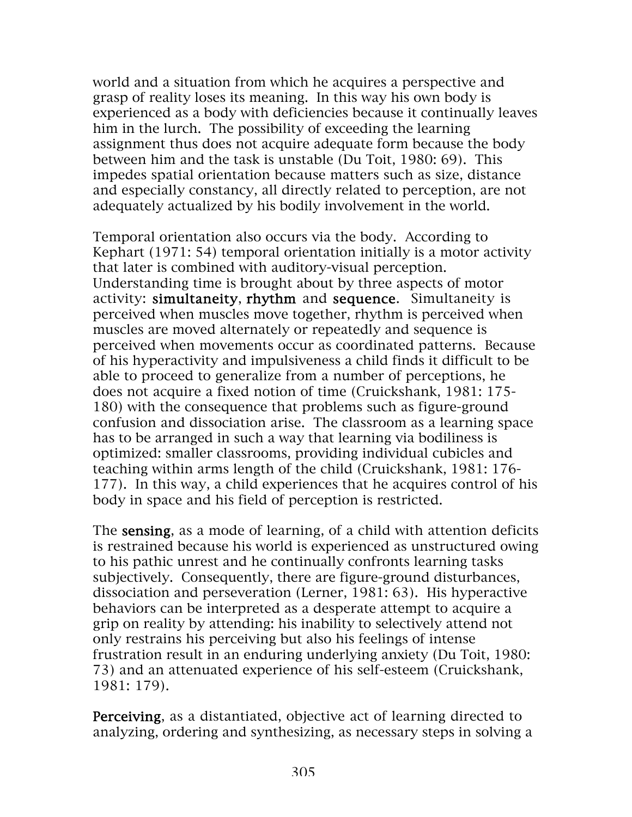world and a situation from which he acquires a perspective and grasp of reality loses its meaning. In this way his own body is experienced as a body with deficiencies because it continually leaves him in the lurch. The possibility of exceeding the learning assignment thus does not acquire adequate form because the body between him and the task is unstable (Du Toit, 1980: 69). This impedes spatial orientation because matters such as size, distance and especially constancy, all directly related to perception, are not adequately actualized by his bodily involvement in the world.

Temporal orientation also occurs via the body. According to Kephart (1971: 54) temporal orientation initially is a motor activity that later is combined with auditory-visual perception. Understanding time is brought about by three aspects of motor activity: simultaneity, rhythm and sequence. Simultaneity is perceived when muscles move together, rhythm is perceived when muscles are moved alternately or repeatedly and sequence is perceived when movements occur as coordinated patterns. Because of his hyperactivity and impulsiveness a child finds it difficult to be able to proceed to generalize from a number of perceptions, he does not acquire a fixed notion of time (Cruickshank, 1981: 175- 180) with the consequence that problems such as figure-ground confusion and dissociation arise. The classroom as a learning space has to be arranged in such a way that learning via bodiliness is optimized: smaller classrooms, providing individual cubicles and teaching within arms length of the child (Cruickshank, 1981: 176- 177). In this way, a child experiences that he acquires control of his body in space and his field of perception is restricted.

The sensing, as a mode of learning, of a child with attention deficits is restrained because his world is experienced as unstructured owing to his pathic unrest and he continually confronts learning tasks subjectively. Consequently, there are figure-ground disturbances, dissociation and perseveration (Lerner, 1981: 63). His hyperactive behaviors can be interpreted as a desperate attempt to acquire a grip on reality by attending: his inability to selectively attend not only restrains his perceiving but also his feelings of intense frustration result in an enduring underlying anxiety (Du Toit, 1980: 73) and an attenuated experience of his self-esteem (Cruickshank, 1981: 179).

Perceiving, as a distantiated, objective act of learning directed to analyzing, ordering and synthesizing, as necessary steps in solving a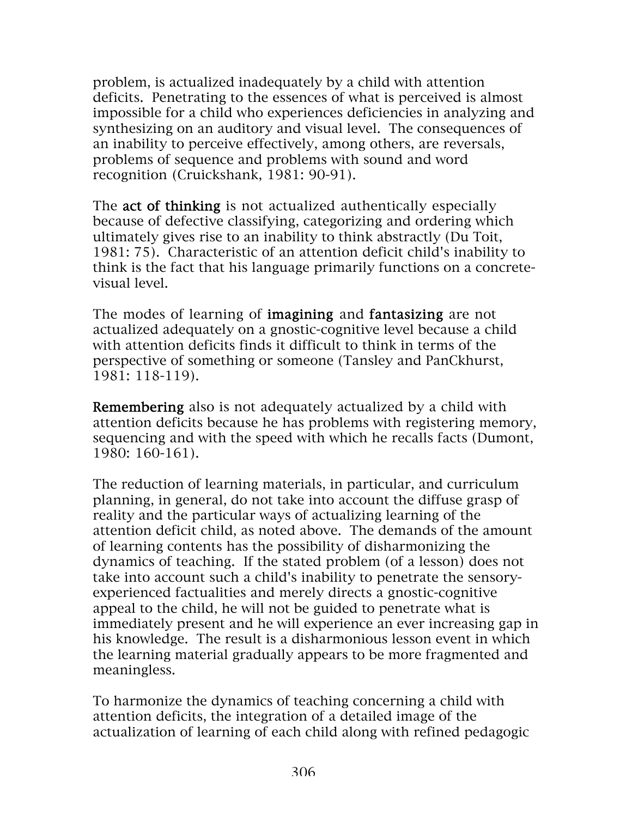problem, is actualized inadequately by a child with attention deficits. Penetrating to the essences of what is perceived is almost impossible for a child who experiences deficiencies in analyzing and synthesizing on an auditory and visual level. The consequences of an inability to perceive effectively, among others, are reversals, problems of sequence and problems with sound and word recognition (Cruickshank, 1981: 90-91).

The **act of thinking** is not actualized authentically especially because of defective classifying, categorizing and ordering which ultimately gives rise to an inability to think abstractly (Du Toit, 1981: 75). Characteristic of an attention deficit child's inability to think is the fact that his language primarily functions on a concretevisual level.

The modes of learning of **imagining** and **fantasizing** are not actualized adequately on a gnostic-cognitive level because a child with attention deficits finds it difficult to think in terms of the perspective of something or someone (Tansley and PanCkhurst, 1981: 118-119).

Remembering also is not adequately actualized by a child with attention deficits because he has problems with registering memory, sequencing and with the speed with which he recalls facts (Dumont, 1980: 160-161).

The reduction of learning materials, in particular, and curriculum planning, in general, do not take into account the diffuse grasp of reality and the particular ways of actualizing learning of the attention deficit child, as noted above. The demands of the amount of learning contents has the possibility of disharmonizing the dynamics of teaching. If the stated problem (of a lesson) does not take into account such a child's inability to penetrate the sensoryexperienced factualities and merely directs a gnostic-cognitive appeal to the child, he will not be guided to penetrate what is immediately present and he will experience an ever increasing gap in his knowledge. The result is a disharmonious lesson event in which the learning material gradually appears to be more fragmented and meaningless.

To harmonize the dynamics of teaching concerning a child with attention deficits, the integration of a detailed image of the actualization of learning of each child along with refined pedagogic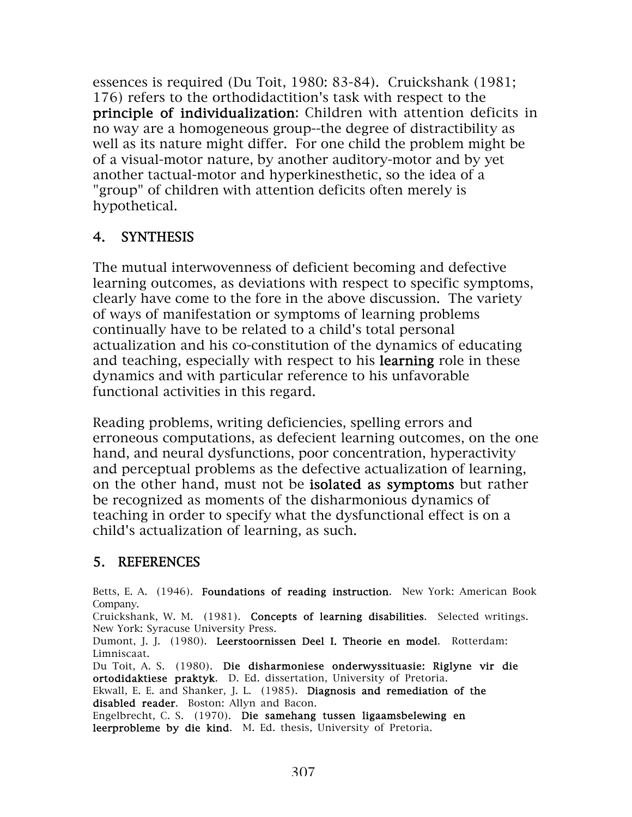essences is required (Du Toit, 1980: 83-84). Cruickshank (1981; 176) refers to the orthodidactition's task with respect to the principle of individualization: Children with attention deficits in no way are a homogeneous group--the degree of distractibility as well as its nature might differ. For one child the problem might be of a visual-motor nature, by another auditory-motor and by yet another tactual-motor and hyperkinesthetic, so the idea of a "group" of children with attention deficits often merely is hypothetical.

## 4. SYNTHESIS

The mutual interwovenness of deficient becoming and defective learning outcomes, as deviations with respect to specific symptoms, clearly have come to the fore in the above discussion. The variety of ways of manifestation or symptoms of learning problems continually have to be related to a child's total personal actualization and his co-constitution of the dynamics of educating and teaching, especially with respect to his learning role in these dynamics and with particular reference to his unfavorable functional activities in this regard.

Reading problems, writing deficiencies, spelling errors and erroneous computations, as defecient learning outcomes, on the one hand, and neural dysfunctions, poor concentration, hyperactivity and perceptual problems as the defective actualization of learning, on the other hand, must not be isolated as symptoms but rather be recognized as moments of the disharmonious dynamics of teaching in order to specify what the dysfunctional effect is on a child's actualization of learning, as such.

#### 5. REFERENCES

Betts, E. A. (1946). Foundations of reading instruction. New York: American Book Company. Cruickshank, W. M. (1981). Concepts of learning disabilities. Selected writings. New York: Syracuse University Press. Dumont, J. J. (1980). Leerstoornissen Deel I. Theorie en model. Rotterdam: Limniscaat. Du Toit, A. S. (1980). Die disharmoniese onderwyssituasie: Riglyne vir die ortodidaktiese praktyk. D. Ed. dissertation, University of Pretoria. Ekwall, E. E. and Shanker, J. L. (1985). Diagnosis and remediation of the disabled reader. Boston: Allyn and Bacon.

Engelbrecht, C. S. (1970). Die samehang tussen ligaamsbelewing en leerprobleme by die kind. M. Ed. thesis, University of Pretoria.